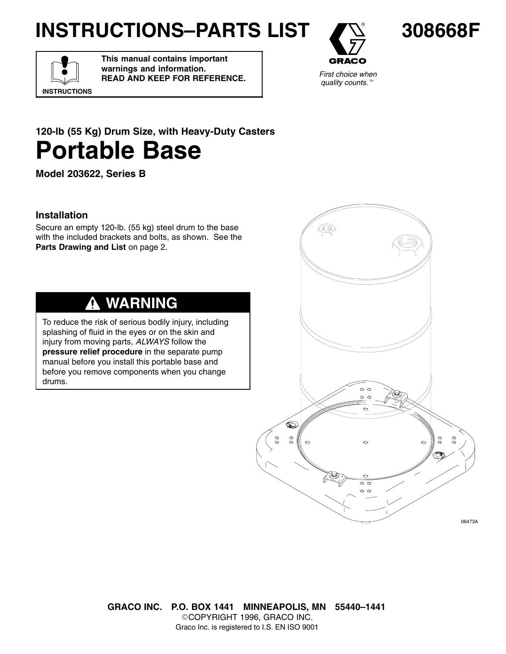# **INSTRUCTIONS–PARTS LIST**



**308668F**

*First choice when quality counts.*<sup>™</sup>

# **INSTRUCTIONS**

**This manual contains important warnings and information. READ AND KEEP FOR REFERENCE.**



**Model 203622, Series B**

## **Installation**

Secure an empty 120-lb. (55 kg) steel drum to the base with the included brackets and bolts, as shown. See the Parts Drawing and List on page 2.

#### **WARNING** Δ

To reduce the risk of serious bodily injury, including splashing of fluid in the eyes or on the skin and injury from moving parts, *ALWAYS* follow the **pressure relief procedure** in the separate pump manual before you install this portable base and before you remove components when you change drums.



**GRACO INC. P.O. BOX 1441 MINNEAPOLIS, MN 55440–1441** COPYRIGHT 1996, GRACO INC. Graco Inc. is registered to I.S. EN ISO 9001